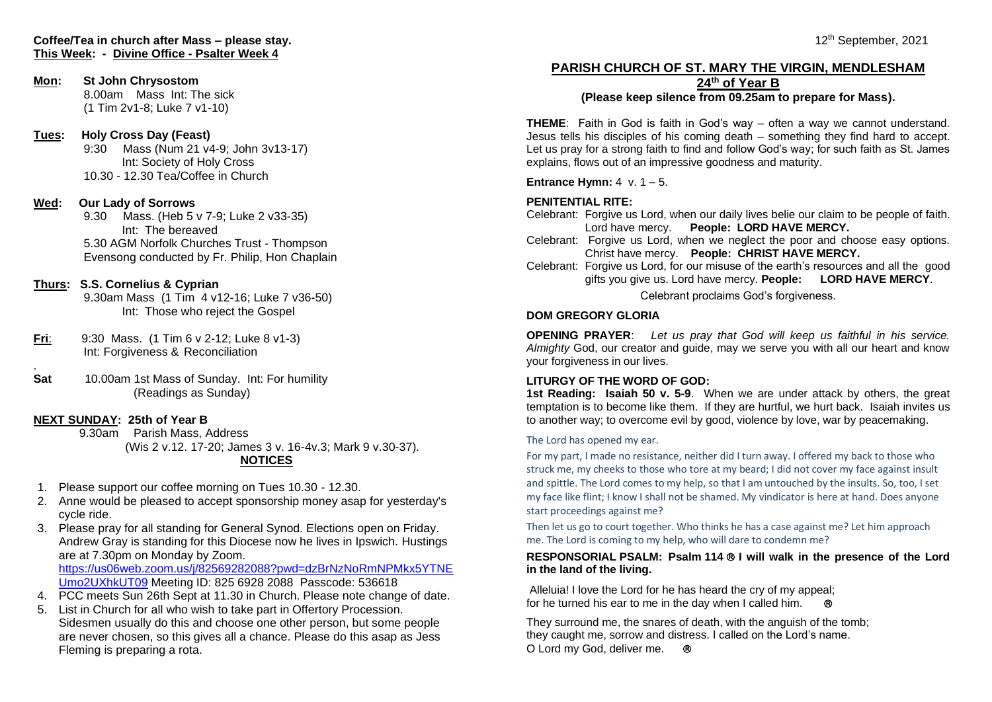# **Mon: St John Chrysostom**

8.00am Mass Int: The sick (1 Tim 2v1-8; Luke 7 v1-10)

# **Tues: Holy Cross Day (Feast)**

9:30 Mass (Num 21 v4-9; John 3v13-17) Int: Society of Holy Cross 10.30 - 12.30 Tea/Coffee in Church

# **Wed: Our Lady of Sorrows**

9.30 Mass. (Heb 5 v 7-9; Luke 2 v33-35) Int: The bereaved 5.30 AGM Norfolk Churches Trust - Thompson Evensong conducted by Fr. Philip, Hon Chaplain

## **Thurs: S.S. Cornelius & Cyprian**

9.30am Mass (1 Tim 4 v12-16; Luke 7 v36-50) Int: Those who reject the Gospel

- **Fri**: 9:30 Mass. (1 Tim 6 v 2-12; Luke 8 v1-3) Int: Forgiveness & Reconciliation
- **Sat** 10.00am 1st Mass of Sunday. Int: For humility (Readings as Sunday)

# **NEXT SUNDAY: 25th of Year B**

.

9.30am Parish Mass, Address (Wis 2 v.12. 17-20; James 3 v. 16-4v.3; Mark 9 v.30-37). **NOTICES**

- 1. Please support our coffee morning on Tues 10.30 12.30.
- 2. Anne would be pleased to accept sponsorship money asap for yesterday's cycle ride.
- 3. Please pray for all standing for General Synod. Elections open on Friday. Andrew Gray is standing for this Diocese now he lives in Ipswich. Hustings are at 7.30pm on Monday by Zoom. [https://us06web.zoom.us/j/82569282088?pwd=dzBrNzNoRmNPMkx5YTNE](https://us06web.zoom.us/j/82569282088?pwd=dzBrNzNoRmNPMkx5YTNEUmo2UXhkUT09) [Umo2UXhkUT09](https://us06web.zoom.us/j/82569282088?pwd=dzBrNzNoRmNPMkx5YTNEUmo2UXhkUT09) Meeting ID: 825 6928 2088 Passcode: 536618
- 4. PCC meets Sun 26th Sept at 11.30 in Church. Please note change of date.
- 5. List in Church for all who wish to take part in Offertory Procession. Sidesmen usually do this and choose one other person, but some people are never chosen, so this gives all a chance. Please do this asap as Jess Fleming is preparing a rota.

#### $12$ 12<sup>th</sup> September, 2021

## **PARISH CHURCH OF ST. MARY THE VIRGIN, MENDLESHAM 24th of Year B**

## **(Please keep silence from 09.25am to prepare for Mass).**

**THEME**: Faith in God is faith in God's way – often a way we cannot understand. Jesus tells his disciples of his coming death – something they find hard to accept. Let us pray for a strong faith to find and follow God's way; for such faith as St. James explains, flows out of an impressive goodness and maturity.

**Entrance Hymn:** 4 v. 1 – 5.

## **PENITENTIAL RITE:**

- Celebrant: Forgive us Lord, when our daily lives belie our claim to be people of faith. Lord have mercy. **People: LORD HAVE MERCY.**
- Celebrant: Forgive us Lord, when we neglect the poor and choose easy options. Christ have mercy. **People: CHRIST HAVE MERCY.**
- Celebrant: Forgive us Lord, for our misuse of the earth's resources and all the good gifts you give us. Lord have mercy. **People: LORD HAVE MERCY**.

Celebrant proclaims God's forgiveness.

## **DOM GREGORY GLORIA**

**OPENING PRAYER**: *Let us pray that God will keep us faithful in his service. Almighty* God, our creator and guide, may we serve you with all our heart and know your forgiveness in our lives.

#### **LITURGY OF THE WORD OF GOD:**

**1st Reading: Isaiah 50 v. 5-9**. When we are under attack by others, the great temptation is to become like them. If they are hurtful, we hurt back. Isaiah invites us to another way; to overcome evil by good, violence by love, war by peacemaking.

The Lord has opened my ear.

For my part, I made no resistance, neither did I turn away. I offered my back to those who struck me, my cheeks to those who tore at my beard; I did not cover my face against insult and spittle. The Lord comes to my help, so that I am untouched by the insults. So, too, I set my face like flint; I know I shall not be shamed. My vindicator is here at hand. Does anyone start proceedings against me?

Then let us go to court together. Who thinks he has a case against me? Let him approach me. The Lord is coming to my help, who will dare to condemn me?

#### **RESPONSORIAL PSALM: Psalm 114 I will walk in the presence of the Lord in the land of the living.**

Alleluia! I love the Lord for he has heard the cry of my appeal; for he turned his ear to me in the day when I called him.

They surround me, the snares of death, with the anguish of the tomb; they caught me, sorrow and distress. I called on the Lord's name. O Lord my God, deliver me.  $\circledR$